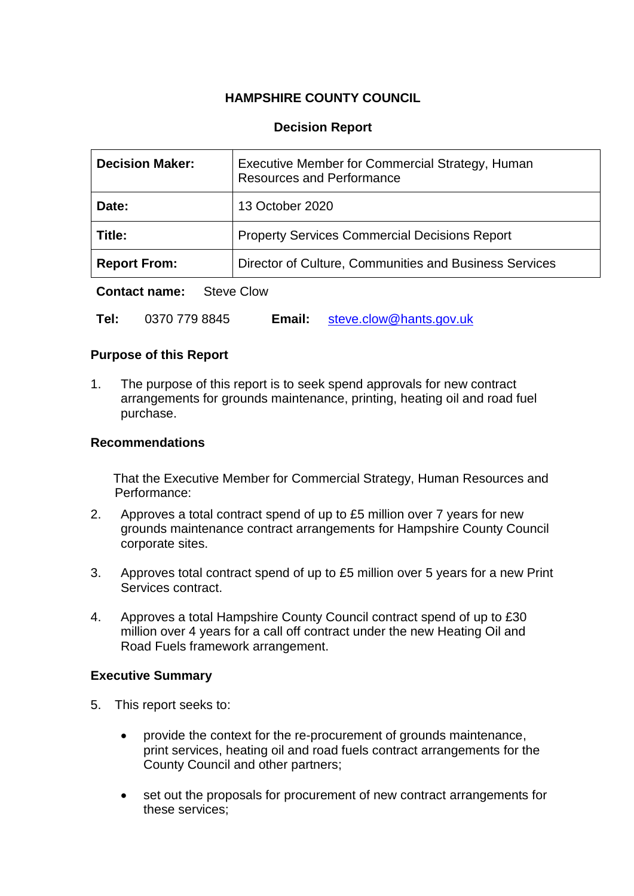# **HAMPSHIRE COUNTY COUNCIL**

# **Decision Report**

| <b>Decision Maker:</b> | Executive Member for Commercial Strategy, Human<br><b>Resources and Performance</b> |
|------------------------|-------------------------------------------------------------------------------------|
| Date:                  | 13 October 2020                                                                     |
| Title:                 | <b>Property Services Commercial Decisions Report</b>                                |
| <b>Report From:</b>    | Director of Culture, Communities and Business Services                              |
|                        |                                                                                     |

**Contact name:** Steve Clow

**Tel:** 0370 779 8845 **Email:** [steve.clow@hants.gov.uk](mailto:steve.clow@hants.gov.uk)

## **Purpose of this Report**

1. The purpose of this report is to seek spend approvals for new contract arrangements for grounds maintenance, printing, heating oil and road fuel purchase.

### **Recommendations**

That the Executive Member for Commercial Strategy, Human Resources and Performance:

- 2. Approves a total contract spend of up to £5 million over 7 years for new grounds maintenance contract arrangements for Hampshire County Council corporate sites.
- 3. Approves total contract spend of up to £5 million over 5 years for a new Print Services contract.
- 4. Approves a total Hampshire County Council contract spend of up to £30 million over 4 years for a call off contract under the new Heating Oil and Road Fuels framework arrangement.

## **Executive Summary**

- 5. This report seeks to:
	- provide the context for the re-procurement of grounds maintenance, print services, heating oil and road fuels contract arrangements for the County Council and other partners;
	- set out the proposals for procurement of new contract arrangements for these services;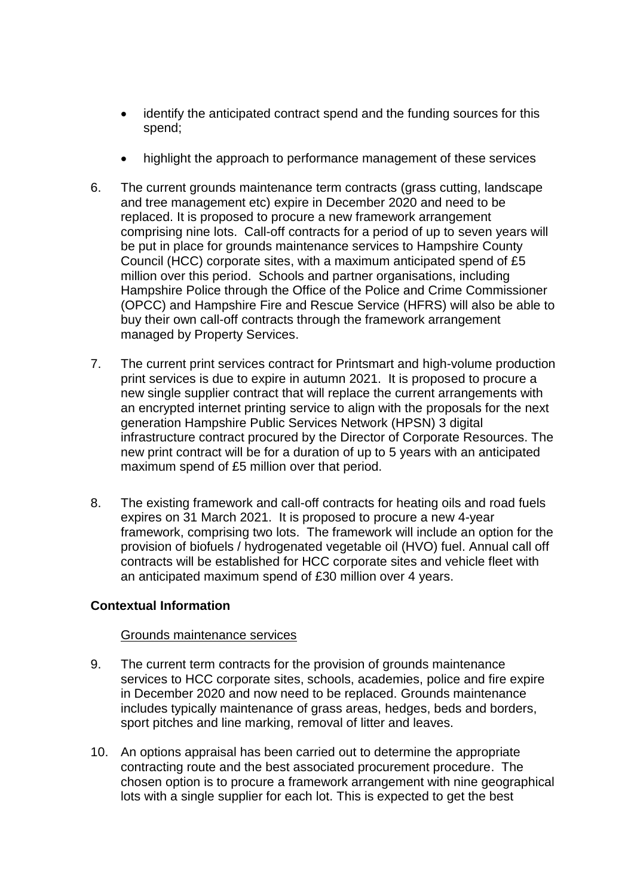- identify the anticipated contract spend and the funding sources for this spend;
- highlight the approach to performance management of these services
- 6. The current grounds maintenance term contracts (grass cutting, landscape and tree management etc) expire in December 2020 and need to be replaced. It is proposed to procure a new framework arrangement comprising nine lots. Call-off contracts for a period of up to seven years will be put in place for grounds maintenance services to Hampshire County Council (HCC) corporate sites, with a maximum anticipated spend of £5 million over this period. Schools and partner organisations, including Hampshire Police through the Office of the Police and Crime Commissioner (OPCC) and Hampshire Fire and Rescue Service (HFRS) will also be able to buy their own call-off contracts through the framework arrangement managed by Property Services.
- 7. The current print services contract for Printsmart and high-volume production print services is due to expire in autumn 2021. It is proposed to procure a new single supplier contract that will replace the current arrangements with an encrypted internet printing service to align with the proposals for the next generation Hampshire Public Services Network (HPSN) 3 digital infrastructure contract procured by the Director of Corporate Resources. The new print contract will be for a duration of up to 5 years with an anticipated maximum spend of £5 million over that period.
- 8. The existing framework and call-off contracts for heating oils and road fuels expires on 31 March 2021. It is proposed to procure a new 4-year framework, comprising two lots. The framework will include an option for the provision of biofuels / hydrogenated vegetable oil (HVO) fuel. Annual call off contracts will be established for HCC corporate sites and vehicle fleet with an anticipated maximum spend of £30 million over 4 years.

# **Contextual Information**

## Grounds maintenance services

- 9. The current term contracts for the provision of grounds maintenance services to HCC corporate sites, schools, academies, police and fire expire in December 2020 and now need to be replaced. Grounds maintenance includes typically maintenance of grass areas, hedges, beds and borders, sport pitches and line marking, removal of litter and leaves.
- 10. An options appraisal has been carried out to determine the appropriate contracting route and the best associated procurement procedure. The chosen option is to procure a framework arrangement with nine geographical lots with a single supplier for each lot. This is expected to get the best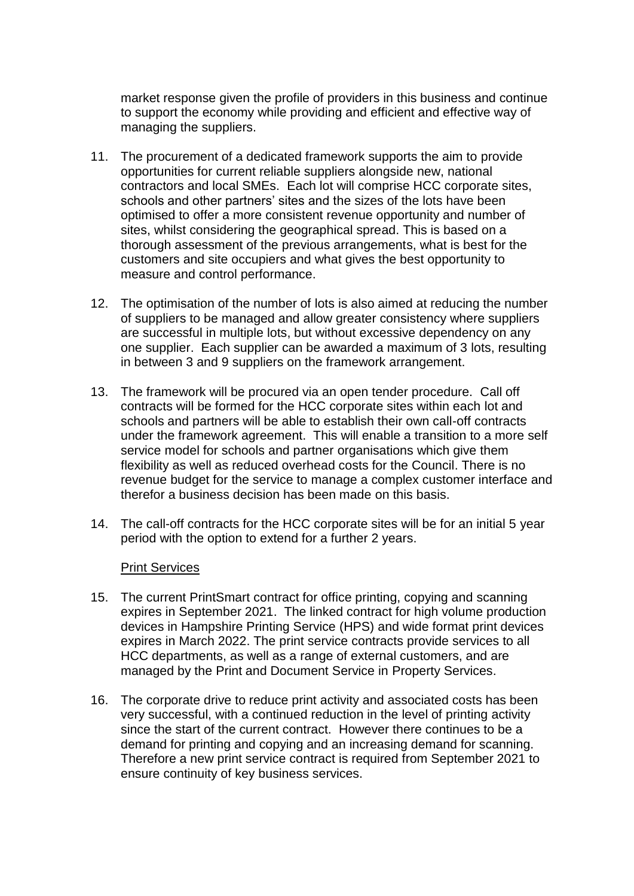market response given the profile of providers in this business and continue to support the economy while providing and efficient and effective way of managing the suppliers.

- 11. The procurement of a dedicated framework supports the aim to provide opportunities for current reliable suppliers alongside new, national contractors and local SMEs. Each lot will comprise HCC corporate sites, schools and other partners' sites and the sizes of the lots have been optimised to offer a more consistent revenue opportunity and number of sites, whilst considering the geographical spread. This is based on a thorough assessment of the previous arrangements, what is best for the customers and site occupiers and what gives the best opportunity to measure and control performance.
- 12. The optimisation of the number of lots is also aimed at reducing the number of suppliers to be managed and allow greater consistency where suppliers are successful in multiple lots, but without excessive dependency on any one supplier. Each supplier can be awarded a maximum of 3 lots, resulting in between 3 and 9 suppliers on the framework arrangement.
- 13. The framework will be procured via an open tender procedure. Call off contracts will be formed for the HCC corporate sites within each lot and schools and partners will be able to establish their own call-off contracts under the framework agreement. This will enable a transition to a more self service model for schools and partner organisations which give them flexibility as well as reduced overhead costs for the Council. There is no revenue budget for the service to manage a complex customer interface and therefor a business decision has been made on this basis.
- 14. The call-off contracts for the HCC corporate sites will be for an initial 5 year period with the option to extend for a further 2 years.

#### Print Services

- 15. The current PrintSmart contract for office printing, copying and scanning expires in September 2021. The linked contract for high volume production devices in Hampshire Printing Service (HPS) and wide format print devices expires in March 2022. The print service contracts provide services to all HCC departments, as well as a range of external customers, and are managed by the Print and Document Service in Property Services.
- 16. The corporate drive to reduce print activity and associated costs has been very successful, with a continued reduction in the level of printing activity since the start of the current contract. However there continues to be a demand for printing and copying and an increasing demand for scanning. Therefore a new print service contract is required from September 2021 to ensure continuity of key business services.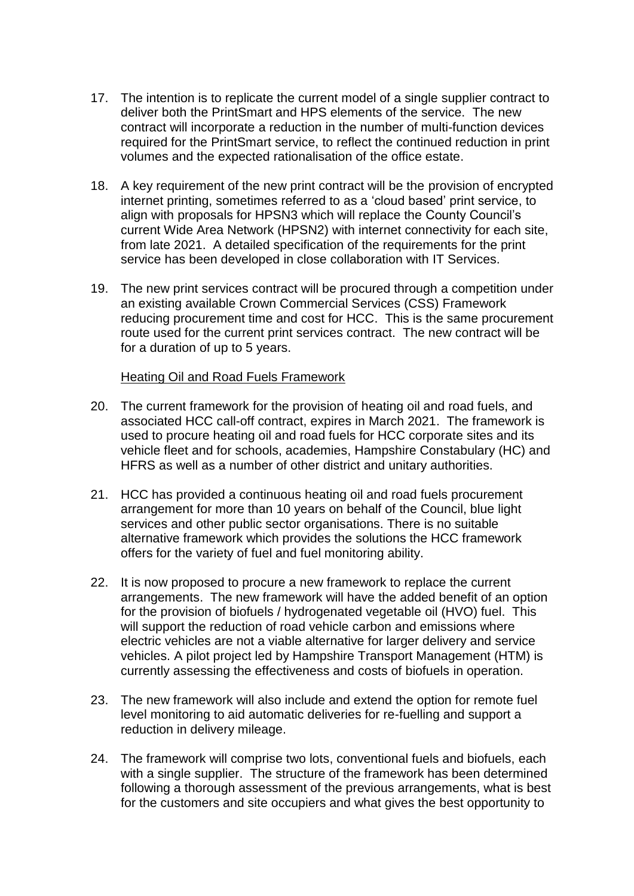- 17. The intention is to replicate the current model of a single supplier contract to deliver both the PrintSmart and HPS elements of the service. The new contract will incorporate a reduction in the number of multi-function devices required for the PrintSmart service, to reflect the continued reduction in print volumes and the expected rationalisation of the office estate.
- 18. A key requirement of the new print contract will be the provision of encrypted internet printing, sometimes referred to as a 'cloud based' print service, to align with proposals for HPSN3 which will replace the County Council's current Wide Area Network (HPSN2) with internet connectivity for each site, from late 2021. A detailed specification of the requirements for the print service has been developed in close collaboration with IT Services.
- 19. The new print services contract will be procured through a competition under an existing available Crown Commercial Services (CSS) Framework reducing procurement time and cost for HCC. This is the same procurement route used for the current print services contract. The new contract will be for a duration of up to 5 years.

#### Heating Oil and Road Fuels Framework

- 20. The current framework for the provision of heating oil and road fuels, and associated HCC call-off contract, expires in March 2021. The framework is used to procure heating oil and road fuels for HCC corporate sites and its vehicle fleet and for schools, academies, Hampshire Constabulary (HC) and HFRS as well as a number of other district and unitary authorities.
- 21. HCC has provided a continuous heating oil and road fuels procurement arrangement for more than 10 years on behalf of the Council, blue light services and other public sector organisations. There is no suitable alternative framework which provides the solutions the HCC framework offers for the variety of fuel and fuel monitoring ability.
- 22. It is now proposed to procure a new framework to replace the current arrangements. The new framework will have the added benefit of an option for the provision of biofuels / hydrogenated vegetable oil (HVO) fuel. This will support the reduction of road vehicle carbon and emissions where electric vehicles are not a viable alternative for larger delivery and service vehicles. A pilot project led by Hampshire Transport Management (HTM) is currently assessing the effectiveness and costs of biofuels in operation.
- 23. The new framework will also include and extend the option for remote fuel level monitoring to aid automatic deliveries for re-fuelling and support a reduction in delivery mileage.
- 24. The framework will comprise two lots, conventional fuels and biofuels, each with a single supplier. The structure of the framework has been determined following a thorough assessment of the previous arrangements, what is best for the customers and site occupiers and what gives the best opportunity to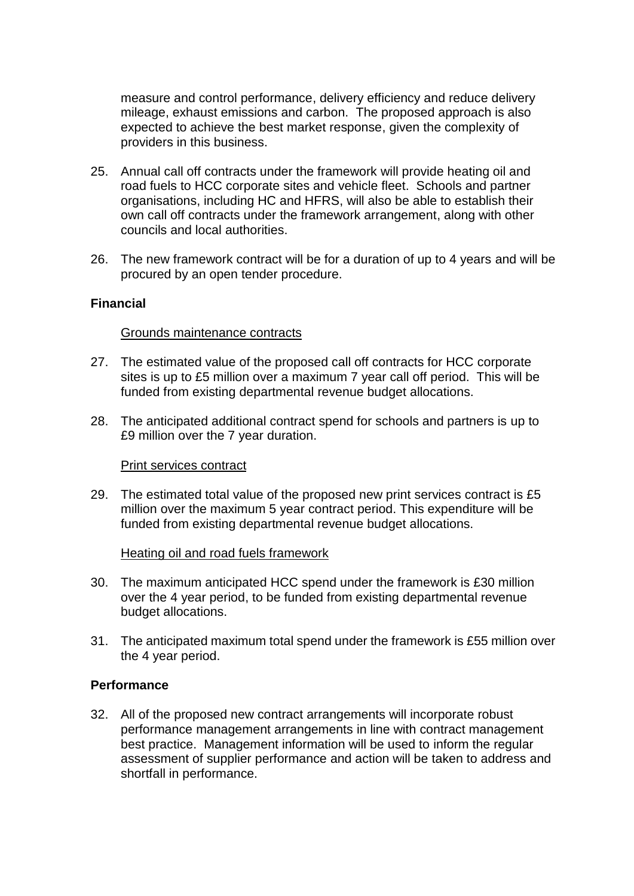measure and control performance, delivery efficiency and reduce delivery mileage, exhaust emissions and carbon. The proposed approach is also expected to achieve the best market response, given the complexity of providers in this business.

- 25. Annual call off contracts under the framework will provide heating oil and road fuels to HCC corporate sites and vehicle fleet. Schools and partner organisations, including HC and HFRS, will also be able to establish their own call off contracts under the framework arrangement, along with other councils and local authorities.
- 26. The new framework contract will be for a duration of up to 4 years and will be procured by an open tender procedure.

## **Financial**

#### Grounds maintenance contracts

- 27. The estimated value of the proposed call off contracts for HCC corporate sites is up to £5 million over a maximum 7 year call off period. This will be funded from existing departmental revenue budget allocations.
- 28. The anticipated additional contract spend for schools and partners is up to £9 million over the 7 year duration.

#### Print services contract

29. The estimated total value of the proposed new print services contract is £5 million over the maximum 5 year contract period. This expenditure will be funded from existing departmental revenue budget allocations.

#### Heating oil and road fuels framework

- 30. The maximum anticipated HCC spend under the framework is £30 million over the 4 year period, to be funded from existing departmental revenue budget allocations.
- 31. The anticipated maximum total spend under the framework is £55 million over the 4 year period.

## **Performance**

32. All of the proposed new contract arrangements will incorporate robust performance management arrangements in line with contract management best practice. Management information will be used to inform the regular assessment of supplier performance and action will be taken to address and shortfall in performance.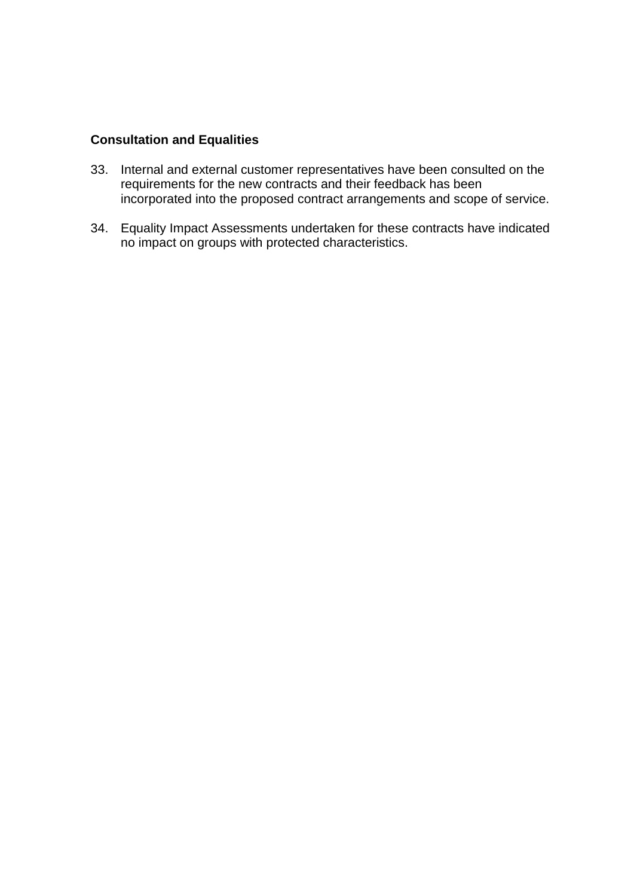# **Consultation and Equalities**

- 33. Internal and external customer representatives have been consulted on the requirements for the new contracts and their feedback has been incorporated into the proposed contract arrangements and scope of service.
- 34. Equality Impact Assessments undertaken for these contracts have indicated no impact on groups with protected characteristics.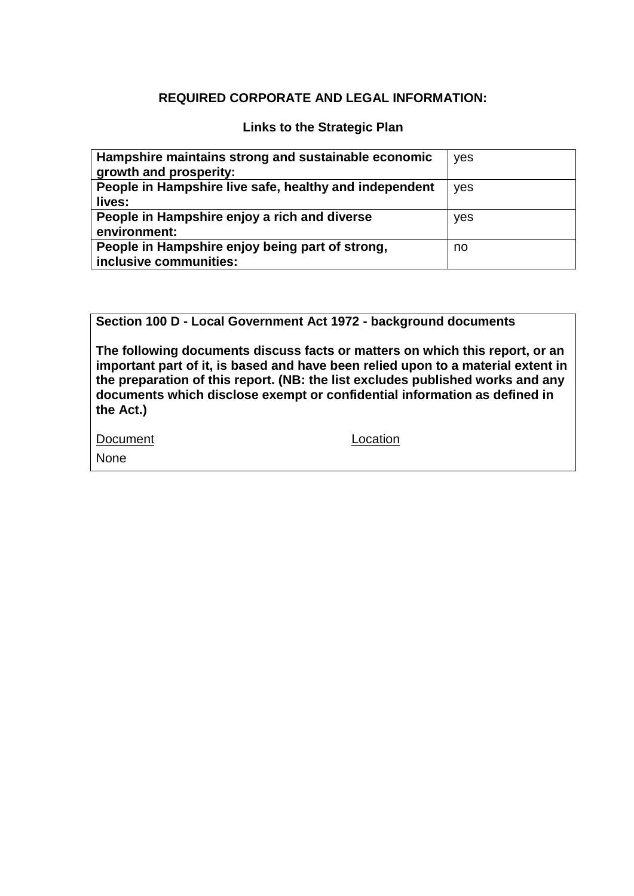# **REQUIRED CORPORATE AND LEGAL INFORMATION:**

# **Links to the Strategic Plan**

| Hampshire maintains strong and sustainable economic<br>growth and prosperity: | yes |
|-------------------------------------------------------------------------------|-----|
| People in Hampshire live safe, healthy and independent<br>lives:              | yes |
| People in Hampshire enjoy a rich and diverse<br>environment:                  | yes |
| People in Hampshire enjoy being part of strong,<br>inclusive communities:     | no  |

**Section 100 D - Local Government Act 1972 - background documents**

**The following documents discuss facts or matters on which this report, or an important part of it, is based and have been relied upon to a material extent in the preparation of this report. (NB: the list excludes published works and any documents which disclose exempt or confidential information as defined in the Act.)**

| Document | Location |
|----------|----------|
| None     |          |